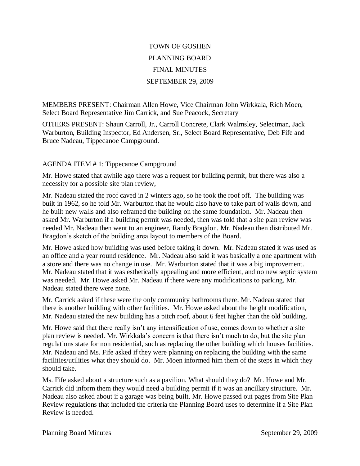## TOWN OF GOSHEN PLANNING BOARD FINAL MINUTES SEPTEMBER 29, 2009

MEMBERS PRESENT: Chairman Allen Howe, Vice Chairman John Wirkkala, Rich Moen, Select Board Representative Jim Carrick, and Sue Peacock, Secretary

OTHERS PRESENT: Shaun Carroll, Jr., Carroll Concrete, Clark Walmsley, Selectman, Jack Warburton, Building Inspector, Ed Andersen, Sr., Select Board Representative, Deb Fife and Bruce Nadeau, Tippecanoe Campground.

## AGENDA ITEM # 1: Tippecanoe Campground

Mr. Howe stated that awhile ago there was a request for building permit, but there was also a necessity for a possible site plan review,

Mr. Nadeau stated the roof caved in 2 winters ago, so he took the roof off. The building was built in 1962, so he told Mr. Warburton that he would also have to take part of walls down, and he built new walls and also reframed the building on the same foundation. Mr. Nadeau then asked Mr. Warburton if a building permit was needed, then was told that a site plan review was needed Mr. Nadeau then went to an engineer, Randy Bragdon. Mr. Nadeau then distributed Mr. Bragdon's sketch of the building area layout to members of the Board.

Mr. Howe asked how building was used before taking it down. Mr. Nadeau stated it was used as an office and a year round residence. Mr. Nadeau also said it was basically a one apartment with a store and there was no change in use. Mr. Warburton stated that it was a big improvement. Mr. Nadeau stated that it was esthetically appealing and more efficient, and no new septic system was needed. Mr. Howe asked Mr. Nadeau if there were any modifications to parking, Mr. Nadeau stated there were none.

Mr. Carrick asked if these were the only community bathrooms there. Mr. Nadeau stated that there is another building with other facilities. Mr. Howe asked about the height modification, Mr. Nadeau stated the new building has a pitch roof, about 6 feet higher than the old building.

Mr. Howe said that there really isn't any intensification of use, comes down to whether a site plan review is needed. Mr. Wirkkala's concern is that there isn't much to do, but the site plan regulations state for non residential, such as replacing the other building which houses facilities. Mr. Nadeau and Ms. Fife asked if they were planning on replacing the building with the same facilities/utilities what they should do. Mr. Moen informed him them of the steps in which they should take.

Ms. Fife asked about a structure such as a pavilion. What should they do? Mr. Howe and Mr. Carrick did inform them they would need a building permit if it was an ancillary structure. Mr. Nadeau also asked about if a garage was being built. Mr. Howe passed out pages from Site Plan Review regulations that included the criteria the Planning Board uses to determine if a Site Plan Review is needed.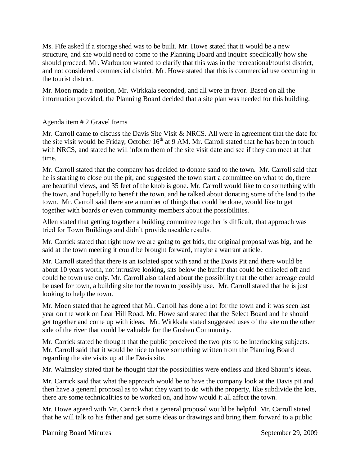Ms. Fife asked if a storage shed was to be built. Mr. Howe stated that it would be a new structure, and she would need to come to the Planning Board and inquire specifically how she should proceed. Mr. Warburton wanted to clarify that this was in the recreational/tourist district, and not considered commercial district. Mr. Howe stated that this is commercial use occurring in the tourist district.

Mr. Moen made a motion, Mr. Wirkkala seconded, and all were in favor. Based on all the information provided, the Planning Board decided that a site plan was needed for this building.

## Agenda item # 2 Gravel Items

Mr. Carroll came to discuss the Davis Site Visit & NRCS. All were in agreement that the date for the site visit would be Friday, October  $16<sup>th</sup>$  at 9 AM. Mr. Carroll stated that he has been in touch with NRCS, and stated he will inform them of the site visit date and see if they can meet at that time.

Mr. Carroll stated that the company has decided to donate sand to the town. Mr. Carroll said that he is starting to close out the pit, and suggested the town start a committee on what to do, there are beautiful views, and 35 feet of the knob is gone. Mr. Carroll would like to do something with the town, and hopefully to benefit the town, and he talked about donating some of the land to the town. Mr. Carroll said there are a number of things that could be done, would like to get together with boards or even community members about the possibilities.

Allen stated that getting together a building committee together is difficult, that approach was tried for Town Buildings and didn't provide useable results.

Mr. Carrick stated that right now we are going to get bids, the original proposal was big, and he said at the town meeting it could be brought forward, maybe a warrant article.

Mr. Carroll stated that there is an isolated spot with sand at the Davis Pit and there would be about 10 years worth, not intrusive looking, sits below the buffer that could be chiseled off and could be town use only. Mr. Carroll also talked about the possibility that the other acreage could be used for town, a building site for the town to possibly use. Mr. Carroll stated that he is just looking to help the town.

Mr. Moen stated that he agreed that Mr. Carroll has done a lot for the town and it was seen last year on the work on Lear Hill Road. Mr. Howe said stated that the Select Board and he should get together and come up with ideas. Mr. Wirkkala stated suggested uses of the site on the other side of the river that could be valuable for the Goshen Community.

Mr. Carrick stated he thought that the public perceived the two pits to be interlocking subjects. Mr. Carroll said that it would be nice to have something written from the Planning Board regarding the site visits up at the Davis site.

Mr. Walmsley stated that he thought that the possibilities were endless and liked Shaun's ideas.

Mr. Carrick said that what the approach would be to have the company look at the Davis pit and then have a general proposal as to what they want to do with the property, like subdivide the lots, there are some technicalities to be worked on, and how would it all affect the town.

Mr. Howe agreed with Mr. Carrick that a general proposal would be helpful. Mr. Carroll stated that he will talk to his father and get some ideas or drawings and bring them forward to a public